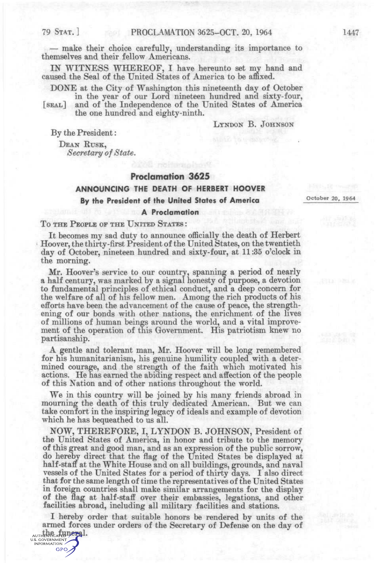GPO,

— make their choice carefully, understanding its importance to themselves and their fellow Americans.

IN WITNESS WHEEEOF, I have hereunto set my hand and caused the Seal of the United States of America to be affixed.

DONE at the City of Washington this nineteenth day of October in the year of our Lord nineteen hundred and sixty-four,

[SEAL] and of the Independence of the United States of America the one hundred and eighty-ninth.

LYNDON B. JOHNSON

By the President:

DEAN KUSK, *Secretary of State.* 

### **Proclamation 3625**

# **ANNOUNCING THE DEATH OF HERBERT HOOVER By the President of the United States of America**

October 20, 1964

#### **A Proclamation**

#### To THE PEOPLE OF THE UNITED STATES :

It becomes my sad duty to announce officially the death of Herbert Hoover, the thirty-first President of the United States, on the twentieth day of October, nineteen hundred and sixty-four, at 11:35 o'clock in the morning.

Mr. Hoover's service to our country, spanning a period of nearly a half century, was marked by a signal honesty of purpose, a devotion to fundamental principles of ethical conduct, and a deep concern for the welfare of all of his fellow men. Among the rich products of his efforts have been the advancement of the cause of peace, the strengthening of our bonds with other nations, the enrichment of the lives of millions of human beings around the world, and a vital improvement of the operation of this Government. His patriotism knew no partisanship.

A gentle and tolerant man, Mr. Hoover will be long remembered for his humanitarianism, his genuine humility coupled with a determined courage, and the strength of the faith which motivated his actions. He has earned the abiding respect and affection of the people of this Nation and of other nations throughout the world.

We in this country will be joined by his many friends abroad in mourning the death of this truly dedicated American. But we can take comfort in the inspiring legacy of ideals and example of devotion which he has bequeathed to us all.

NOW, THEKEFOEE, I, LYNDON B. JOHNSON, President of the United States of America, in honor and tribute to the memory of this great and good man, and as an expression of the public sorrow, do hereby direct that the flag of the United States be displayed at half-staff at the White House and on all buildings, grounds, and naval vessels of the United States for a period of thirty days. I also direct that for the same length of time the representatives of the United States in foreign countries shall make similar arrangements for the display of the flag at half-staff over their embassies, legations, and other facilities abroad, including all military facilities and stations.

I hereby order that suitable honors be rendered by units of the armed forces under orders of the Secretary of Defense on the day of AUTHENTICATED DETAIL